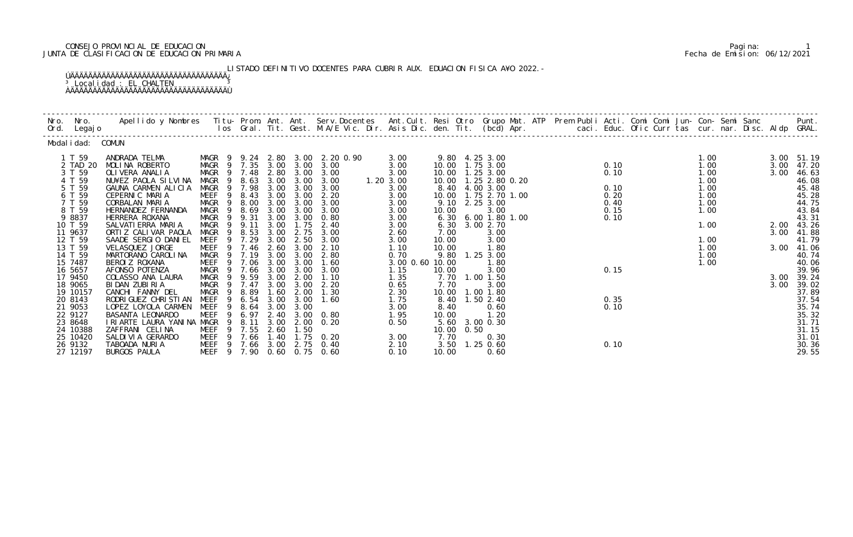## CONSEJO PROVINCIAL DE EDUCACION Pagina: 1 JUNTA DE CLASIFICACION DE EDUCACION PRIMARIA Fecha de Emision: 06/12/2021

 LISTADO DEFINITIVO DOCENTES PARA CUBRIR AUX. EDUACION FISICA A¥O 2022.- ÚÄÄÄÄÄÄÄÄÄÄÄÄÄÄÄÄÄÄÄÄÄÄÄÄÄÄÄÄÄÄÄÄÄÄÄ¿ <sup>3</sup> Localidad : EL CHALTEN <sup>3</sup> ÀÄÄÄÄÄÄÄÄÄÄÄÄÄÄÄÄÄÄÄÄÄÄÄÄÄÄÄÄÄÄÄÄÄÄÄÙ

| Modal i dad: COMUN                                                                                                                                                                                                                       |                                                                                                                                                                                                                                                                                                                                                                                                                                                                 |                                                                                                                                                                                                                                                                                            |                                                                                                                                                |                                                                                                                                                              |                                                                                                                                                              |                                                                                                                                                                                                 |                                                                                                                                                                                              |                                                                                           |                                                                                                                                                                                                                                                                                                                                        |  |                                                                              |                                                                                                      |                              |                                                                                                                                                                                                                        |
|------------------------------------------------------------------------------------------------------------------------------------------------------------------------------------------------------------------------------------------|-----------------------------------------------------------------------------------------------------------------------------------------------------------------------------------------------------------------------------------------------------------------------------------------------------------------------------------------------------------------------------------------------------------------------------------------------------------------|--------------------------------------------------------------------------------------------------------------------------------------------------------------------------------------------------------------------------------------------------------------------------------------------|------------------------------------------------------------------------------------------------------------------------------------------------|--------------------------------------------------------------------------------------------------------------------------------------------------------------|--------------------------------------------------------------------------------------------------------------------------------------------------------------|-------------------------------------------------------------------------------------------------------------------------------------------------------------------------------------------------|----------------------------------------------------------------------------------------------------------------------------------------------------------------------------------------------|-------------------------------------------------------------------------------------------|----------------------------------------------------------------------------------------------------------------------------------------------------------------------------------------------------------------------------------------------------------------------------------------------------------------------------------------|--|------------------------------------------------------------------------------|------------------------------------------------------------------------------------------------------|------------------------------|------------------------------------------------------------------------------------------------------------------------------------------------------------------------------------------------------------------------|
| 1 T 59<br>2 TAD 20<br>3 T 59<br>4 T 59<br>5 T 59<br>6 T 59<br>7 T 59<br>8 T 59<br>9 8837<br>10 T 59<br>11 9637<br>12 T 59<br>13 T 59<br>14 T 59<br>15 7487<br>16 5657<br>17 9450<br>18 9065<br>19 10157<br>20 8143<br>21 9053<br>22 9127 | ANDRADA TELMA<br>MOLINA ROBERTO<br>OLI VERA ANALI A<br>NU¥EZ PAOLA SILVINA<br>GAUNA CARMEN ALICIA<br>CEPERNIC MARIA<br>CORBALAN MARIA<br>HERNANDEZ FERNANDA<br>HERRERA ROXANA<br>SALVATI ERRA MARIA<br>ORTI Z CALI VAR PAOLA<br>SAADE SERGIO DANIEL<br>VELASQUEZ JORGE<br>MARTORANO CAROLINA<br>BEROI Z ROXANA<br>AFONSO POTENZA<br>COLASSO ANA LAURA<br>BIDAN ZUBIRIA<br>CANCHI FANNY DEL<br>RODRI GUEZ CHRI STI AN<br>LOPEZ LOYOLA CARMEN<br>BASANTA LEONARDO | MAGR 9 7.35 3.00 3.00<br>MAGR<br>MAGR<br>$\overline{9}$<br>MAGR<br>MEEF<br>-9<br>MAGR<br>- 9<br>MAGR<br>$\overline{9}$<br>MAGR<br>MAGR 9 9.11<br>MAGR<br>$\overline{9}$<br>MEEF<br>MEEF 9 7.46<br>MAGR 9 7.19<br>MEEF<br>MAGR<br>MAGR<br>MAGR 9 7.47<br>MAGR<br>MEEF<br>-9<br>MEEF<br>MEEF | 9 7.48<br>8.63<br>9 7.98<br>8.43<br>8.00<br>8.69<br>9 9.31<br>8.53<br>7.29<br>9 7.06<br>9 7.66<br>9 9.59<br>9 8.89<br>6.54<br>9 8.64<br>9 6.97 | 2.80<br>3.00<br>3.00<br>3.00<br>3.00<br>3.00<br>3.00<br>3.00<br>3.00<br>3.00<br>2.60<br>3.00<br>3.00<br>3.00<br>3.00<br>3.00<br>1.60<br>3.00<br>3.00<br>2.40 | 3.00<br>3.00<br>3.00<br>3.00<br>3.00<br>3.00<br>3.00<br>1.75<br>2.75<br>2.50<br>3.00<br>3.00<br>3.00<br>3.00<br>2.00<br>3.00<br>2.00<br>3.00<br>3.00<br>3.00 | MAGR 9 9.24 2.80 3.00 2.20 0.90<br>3.00<br>3.00<br>3.00<br>3.00<br>2.20<br>3.00<br>3.00<br>0.80<br>2.40<br>3.00<br>3.00<br>2.10<br>2.80<br>1.60<br>3.00<br>1.10<br>2.20<br>1.30<br>1.60<br>0.80 | 3.00<br>3.00<br>3.00<br>1.20 3.00<br>3.00<br>3.00<br>3.00<br>3.00<br>3.00<br>3.00<br>2.60<br>3.00<br>1.10<br>0.70<br>3.00 0.60 10.00<br>1.15<br>1.35<br>0.65<br>2.30<br>1.75<br>3.00<br>1.95 | 9.10<br>10.00<br>6.30<br>7.00<br>10.00<br>10.00<br>10.00<br>7.70<br>8.40<br>8.40<br>10.00 | 9.80 4.25 3.00<br>10.00  1.75  3.00<br>10.00  1.25  3.00<br>10.00  1.25  2.80  0.20<br>8.40 4.00 3.00<br>10.00   1.75   2.70   1.00<br>2.25 3.00<br>3.00<br>6.30 6.00 1.80 1.00<br>3.00 2.70<br>3.00<br>3.00<br>1.80<br>9.80 1.25 3.00<br>1.80<br>3.00<br>7.70 1.00 1.50<br>3.00<br>10.00  1.00  1.80<br>$1.50$ $2.40$<br>0.60<br>1.20 |  | 0.10<br>0.10<br>0.10<br>0.20<br>0.40<br>0.15<br>0.10<br>0.15<br>0.35<br>0.10 | 1.00<br>1.00<br>1.00<br>1.00<br>1.00<br>1.00<br>1.00<br>1.00<br>1.00<br>1.00<br>1.00<br>1.00<br>1.00 | 3.00<br>3.00<br>3.00<br>3.00 | 3.00 51.19<br>47.20<br>46.63<br>46.08<br>45.48<br>45.28<br>44.75<br>43.84<br>43.31<br>2.00 43.26<br>41.88<br>41.79<br>3.00 41.06<br>40.74<br>40.06<br>39.96<br>3.00 39.24<br>39.02<br>37.89<br>37.54<br>35.74<br>35.32 |
| 23 8648<br>24 10388<br>25 10420<br>26 9132<br>27 12197                                                                                                                                                                                   | I RI ARTE LAURA YANI NA MAGR<br>ZAFFRANI CELINA<br>SALDI VI A GERARDO<br>TABOADA NURIA<br>BURGOS PAULA                                                                                                                                                                                                                                                                                                                                                          | 9<br>MEEF<br>9<br>MEEF 9 7.66<br>MEEF 9 7.66 3.00<br>MEEF 9 7.90 0.60 0.75 0.60                                                                                                                                                                                                            | 8.11<br>7.55                                                                                                                                   | 3.00<br>2.60<br>1.40                                                                                                                                         | 2.00<br>1.50<br>2.75                                                                                                                                         | 0.20<br>$1.75$ 0.20<br>0.40                                                                                                                                                                     | 0.50<br>3.00<br>2.10<br>0.10                                                                                                                                                                 | 5.60<br>10.00<br>7.70<br>10.00                                                            | 3.00 0.30<br>0.50<br>0.30<br>3.50 1.25 0.60<br>0.60                                                                                                                                                                                                                                                                                    |  | 0.10                                                                         |                                                                                                      |                              | 31.71<br>31.15<br>31.01<br>30.36<br>29.55                                                                                                                                                                              |